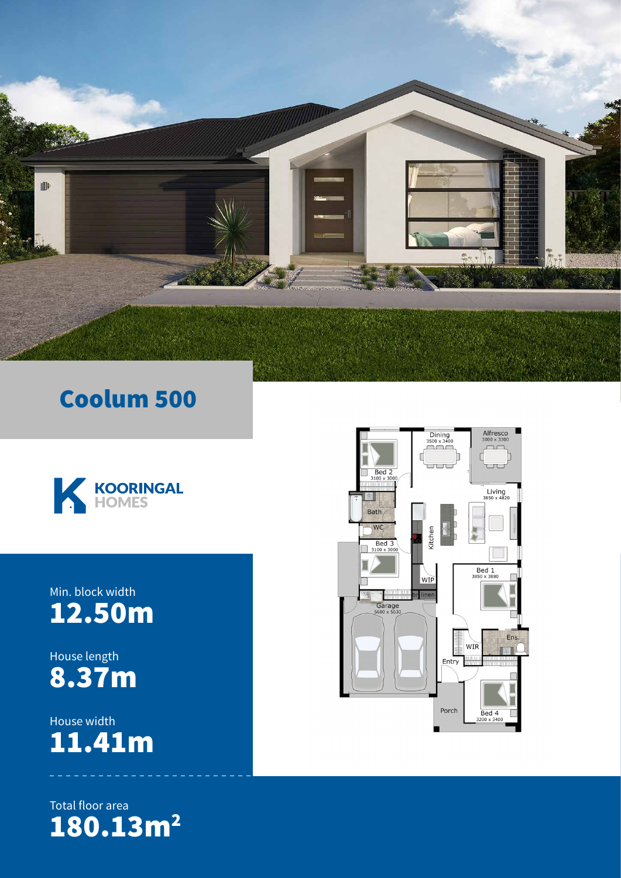

### Coolum 500



#### Min. block width 12.50m

House length 8.37m

House width 11.41m

Total floor area 180.13m<sup>2</sup>

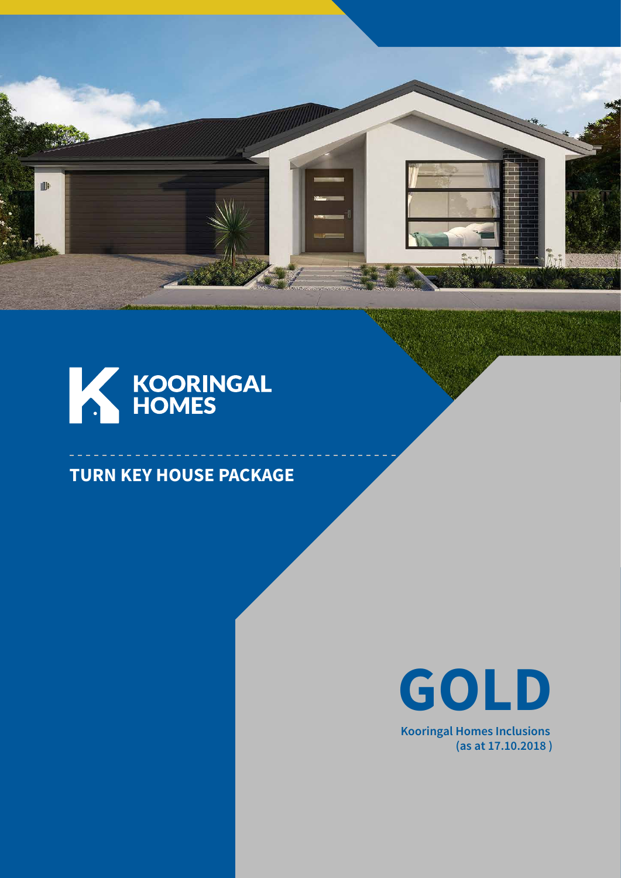



#### **TURN KEY HOUSE PACKAGE**



**Kooringal Homes Inclusions (as at 17.10.2018 )**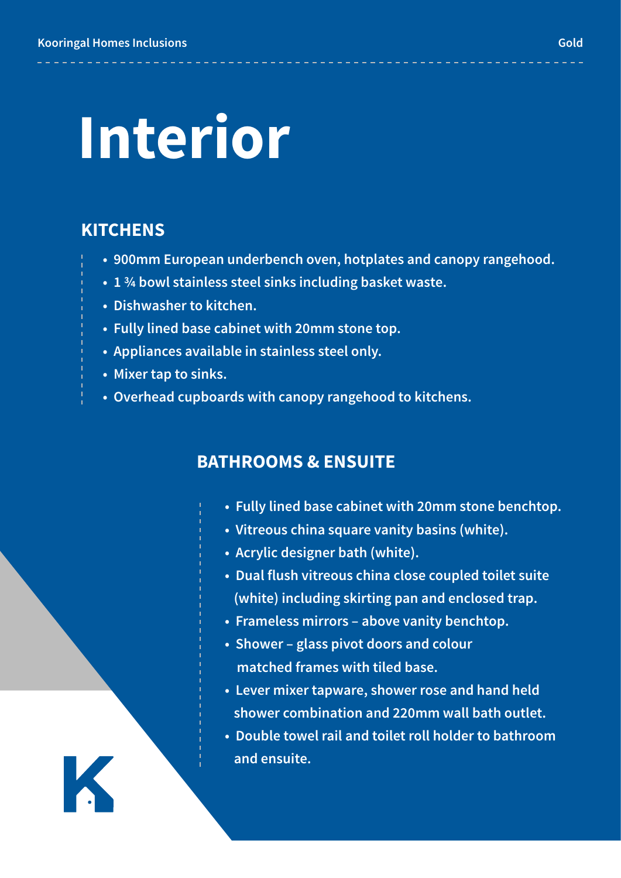## **nterior Interior**

#### **KITCHENS**

K

- **900mm European underbench oven, hotplates and canopy rangehood.**
- **1 ¾ bowl stainless steel sinks including basket waste.**
- **Dishwasher to kitchen.**
- **Fully lined base cabinet with 20mm stone top.**
- **Appliances available in stainless steel only.**
- **Mixer tap to sinks.**
- **Overhead cupboards with canopy rangehood to kitchens.**

#### **BATHROOMS & ENSUITE**

- **Fully lined base cabinet with 20mm stone benchtop.**
- **Vitreous china square vanity basins (white).**
- **Acrylic designer bath (white).**
- **Dual flush vitreous china close coupled toilet suite (white) including skirting pan and enclosed trap.**
- **Frameless mirrors above vanity benchtop.**
- **Shower glass pivot doors and colour matched frames with tiled base.**
- **Lever mixer tapware, shower rose and hand held shower combination and 220mm wall bath outlet.**
- **Double towel rail and toilet roll holder to bathroom and ensuite.**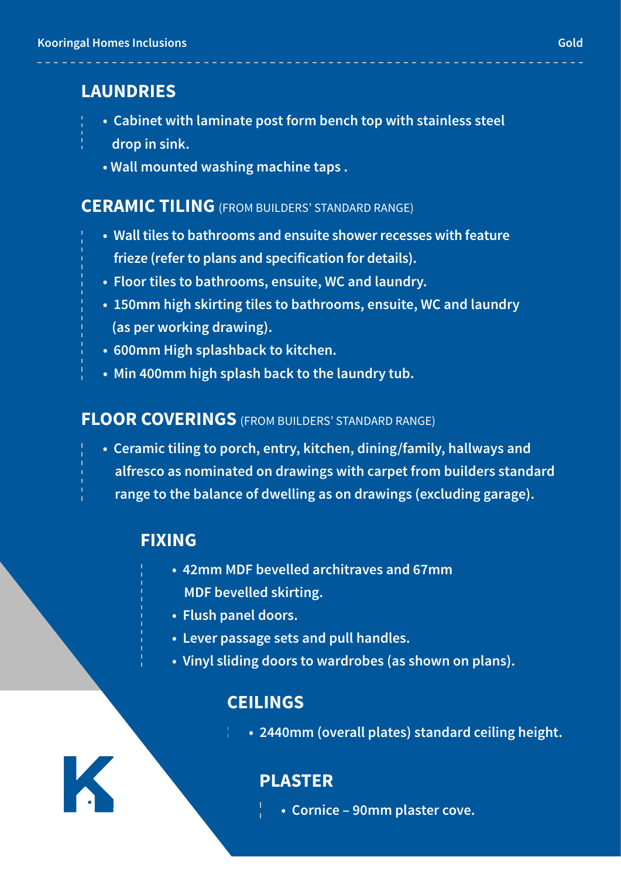#### **LAUNDRIES**

- **Cabinet with laminate post form bench top with stainless steel**
	- **drop in sink.**
- **Wall mounted washing machine taps .**

#### **CERAMIC TILING** (FROM BUILDERS' STANDARD RANGE)

- **Wall tiles to bathrooms and ensuite shower recesses with feature frieze (refer to plans and specification for details).**
- **Floor tiles to bathrooms, ensuite, WC and laundry.**
- **150mm high skirting tiles to bathrooms, ensuite, WC and laundry (as per working drawing).**
- **600mm High splashback to kitchen.**
- **Min 400mm high splash back to the laundry tub.**

#### **FLOOR COVERINGS** (FROM BUILDERS' STANDARD RANGE)

**• Ceramic tiling to porch, entry, kitchen, dining/family, hallways and alfresco as nominated on drawings with carpet from builders standard range to the balance of dwelling as on drawings (excluding garage).**

#### **FIXING**

- **42mm MDF bevelled architraves and 67mm MDF bevelled skirting.**
- **Flush panel doors.**
- **Lever passage sets and pull handles.**
- **Vinyl sliding doors to wardrobes (as shown on plans).**

#### **CEILINGS**

**• 2440mm (overall plates) standard ceiling height.**

#### **PLASTER**

**• Cornice – 90mm plaster cove.**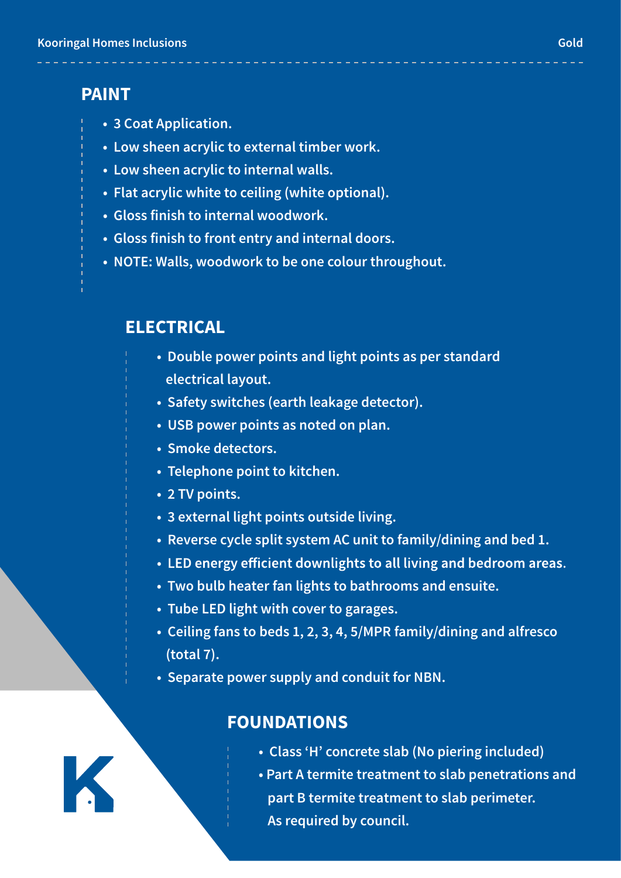#### **PAINT**

- **3 Coat Application.**
- **Low sheen acrylic to external timber work.**
- **Low sheen acrylic to internal walls.**
- **Flat acrylic white to ceiling (white optional).**
- **Gloss finish to internal woodwork.**
- **Gloss finish to front entry and internal doors.**
- **NOTE: Walls, woodwork to be one colour throughout.**

#### **ELECTRICAL**

- **Double power points and light points as per standard electrical layout.**
	- **Safety switches (earth leakage detector).**
	- **USB power points as noted on plan.**
	- **Smoke detectors.**
	- **Telephone point to kitchen.**
	- **2 TV points.**
	- **3 external light points outside living.**
	- **Reverse cycle split system AC unit to family/dining and bed 1.**
	- LED energy efficient downlights to all living and bedroom areas.
- **Two bulb heater fan lights to bathrooms and ensuite.**
- **Tube LED light with cover to garages.**
- **Ceiling fans to beds 1, 2, 3, 4, 5/MPR family/dining and alfresco (total 7).**
- **Separate power supply and conduit for NBN.**

#### **FOUNDATIONS**

- **Class 'H' concrete slab (No piering included)**
- **Part A termite treatment to slab penetrations and part B termite treatment to slab perimeter. As required by council.**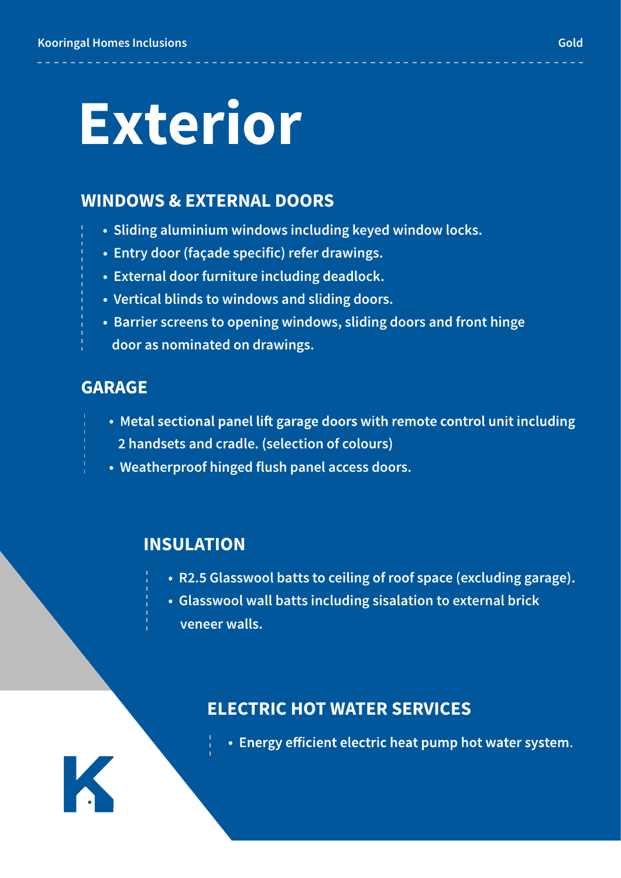# **Exterior**

#### **WINDOWS & EXTERNAL DOORS**

- **Sliding aluminium windows including keyed window locks.**
- **Entry door (façade specific) refer drawings.**
- **External door furniture including deadlock.**
- **Vertical blinds to windows and sliding doors.**
- **Barrier screens to opening windows, sliding doors and front hinge door as nominated on drawings.**

#### **GARAGE**

K

- Metal sectional panel lift garage doors with remote control unit including  **2 handsets and cradle. (selection of colours)**
- **Weatherproof hinged flush panel access doors.**

#### **INSULATION**

- **R2.5 Glasswool batts to ceiling of roof space (excluding garage).**
- **Glasswool wall batts including sisalation to external brick veneer walls.**

#### **ELECTRIC HOT WATER SERVICES**

**• Energy efficient electric heat pump hot water system.**